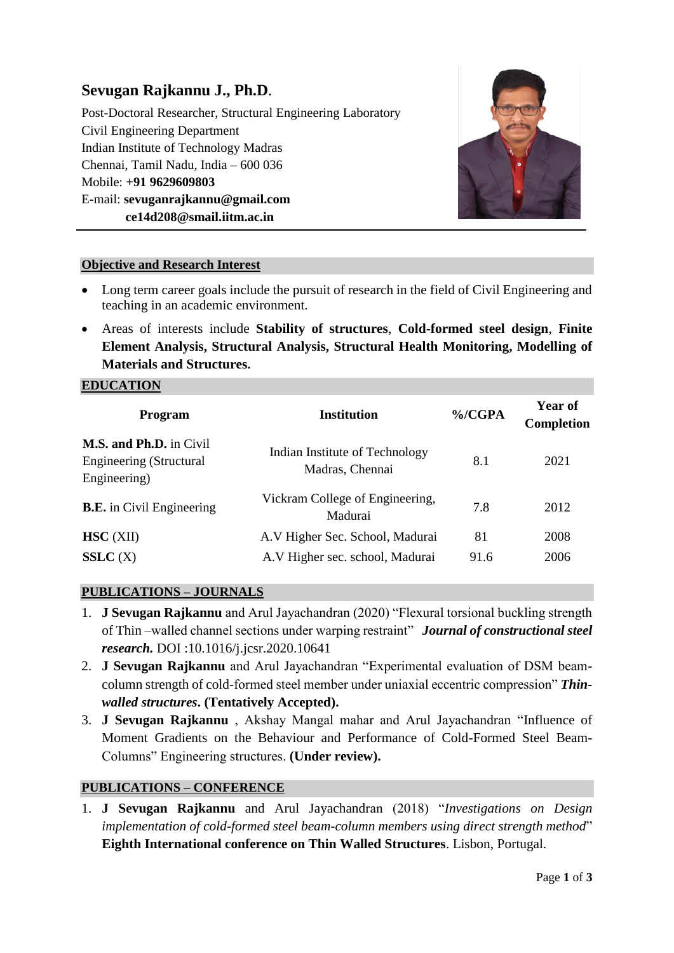# **Sevugan Rajkannu J., Ph.D**.

Post-Doctoral Researcher, Structural Engineering Laboratory Civil Engineering Department Indian Institute of Technology Madras Chennai, Tamil Nadu, India – 600 036 Mobile: **+91 9629609803** E-mail: **sevuganrajkannu@gmail.com ce14d208@smail.iitm.ac.in**



#### **Objective and Research Interest**

- Long term career goals include the pursuit of research in the field of Civil Engineering and teaching in an academic environment.
- Areas of interests include **Stability of structures**, **Cold-formed steel design**, **Finite Element Analysis, Structural Analysis, Structural Health Monitoring, Modelling of Materials and Structures.**

#### **EDUCATION**

| <b>Program</b>                                                                   | <b>Institution</b>                                | $\%$ /CGPA | Year of<br><b>Completion</b> |
|----------------------------------------------------------------------------------|---------------------------------------------------|------------|------------------------------|
| <b>M.S. and Ph.D.</b> in Civil<br><b>Engineering (Structural</b><br>Engineering) | Indian Institute of Technology<br>Madras, Chennai | 8.1        | 2021                         |
| <b>B.E.</b> in Civil Engineering                                                 | Vickram College of Engineering,<br>Madurai        | 7.8        | 2012                         |
| $HSC$ (XII)                                                                      | A.V Higher Sec. School, Madurai                   | 81         | 2008                         |
| SSLC(X)                                                                          | A.V Higher sec. school, Madurai                   | 91.6       | 2006                         |
|                                                                                  |                                                   |            |                              |

# **PUBLICATIONS – JOURNALS**

- 1. **J Sevugan Rajkannu** and Arul Jayachandran (2020) "Flexural torsional buckling strength of Thin –walled channel sections under warping restraint" *Journal of constructional steel research.* DOI :10.1016/j.jcsr.2020.10641
- 2. **J Sevugan Rajkannu** and Arul Jayachandran "Experimental evaluation of DSM beamcolumn strength of cold-formed steel member under uniaxial eccentric compression" *Thinwalled structures***. (Tentatively Accepted).**
- 3. **J Sevugan Rajkannu** , Akshay Mangal mahar and Arul Jayachandran "Influence of Moment Gradients on the Behaviour and Performance of Cold-Formed Steel Beam-Columns" Engineering structures. **(Under review).**

# **PUBLICATIONS – CONFERENCE**

1. **J Sevugan Rajkannu** and Arul Jayachandran (2018) "*Investigations on Design implementation of cold-formed steel beam-column members using direct strength method*" **Eighth International conference on Thin Walled Structures**. Lisbon, Portugal.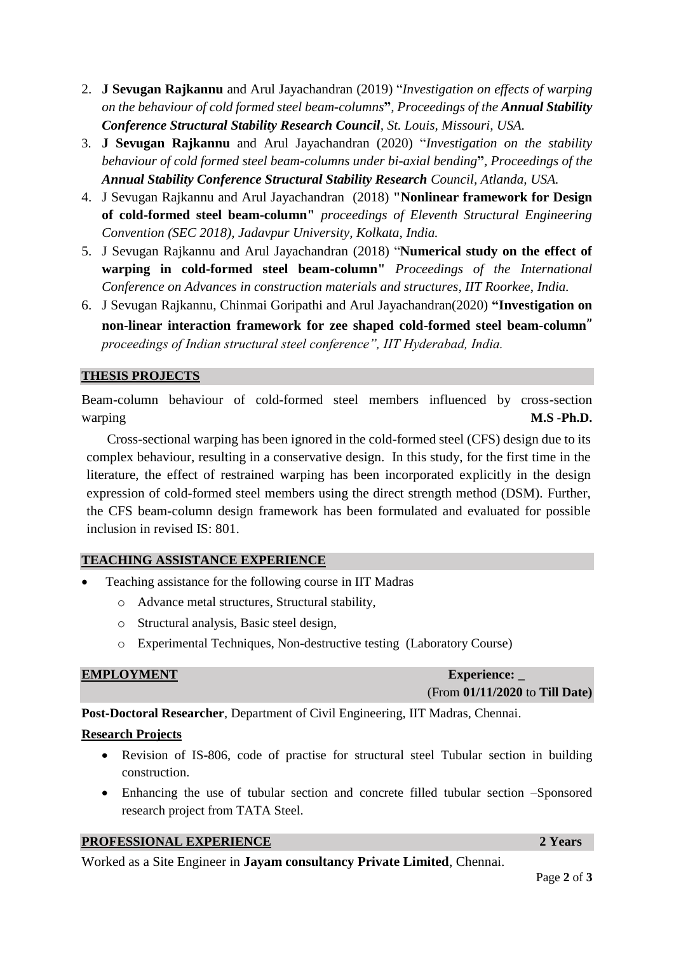- 2. **J Sevugan Rajkannu** and Arul Jayachandran (2019) "*Investigation on effects of warping on the behaviour of cold formed steel beam-columns***"***, Proceedings of the Annual Stability Conference Structural Stability Research Council, St. Louis, Missouri, USA.*
- 3. **J Sevugan Rajkannu** and Arul Jayachandran (2020) "*Investigation on the stability behaviour of cold formed steel beam-columns under bi-axial bending***"***, Proceedings of the Annual Stability Conference Structural Stability Research Council, Atlanda, USA.*
- 4. J Sevugan Rajkannu and Arul Jayachandran(2018) **"Nonlinear framework for Design of cold-formed steel beam-column"** *proceedings of Eleventh Structural Engineering Convention (SEC 2018), Jadavpur University, Kolkata, India.*
- 5. J Sevugan Rajkannu and Arul Jayachandran (2018) "**Numerical study on the effect of warping in cold-formed steel beam-column"** *Proceedings of the International Conference on Advances in construction materials and structures, IIT Roorkee*, *India.*
- 6. J Sevugan Rajkannu, Chinmai Goripathi and Arul Jayachandran(2020) **"Investigation on non-linear interaction framework for zee shaped cold-formed steel beam-column**" *proceedings of Indian structural steel conference", IIT Hyderabad, India.*

### **THESIS PROJECTS**

Beam-column behaviour of cold-formed steel members influenced by cross-section warping **M.S -Ph.D.** 

Cross-sectional warping has been ignored in the cold-formed steel (CFS) design due to its complex behaviour, resulting in a conservative design. In this study, for the first time in the literature, the effect of restrained warping has been incorporated explicitly in the design expression of cold-formed steel members using the direct strength method (DSM). Further, the CFS beam-column design framework has been formulated and evaluated for possible inclusion in revised IS: 801.

#### **TEACHING ASSISTANCE EXPERIENCE**

- Teaching assistance for the following course in IIT Madras
	- o Advance metal structures, Structural stability,
	- o Structural analysis, Basic steel design,
	- o Experimental Techniques, Non-destructive testing (Laboratory Course)

| <b>EMPLOYMENT</b> | <b>Experience:</b>               |  |
|-------------------|----------------------------------|--|
|                   | (From $01/11/2020$ to Till Date) |  |

**Post-Doctoral Researcher**, Department of Civil Engineering, IIT Madras, Chennai.

#### **Research Projects**

- Revision of IS-806, code of practise for structural steel Tubular section in building construction.
- Enhancing the use of tubular section and concrete filled tubular section –Sponsored research project from TATA Steel.

#### **PROFESSIONAL EXPERIENCE** 2 Years

Worked as a Site Engineer in **Jayam consultancy Private Limited**, Chennai.